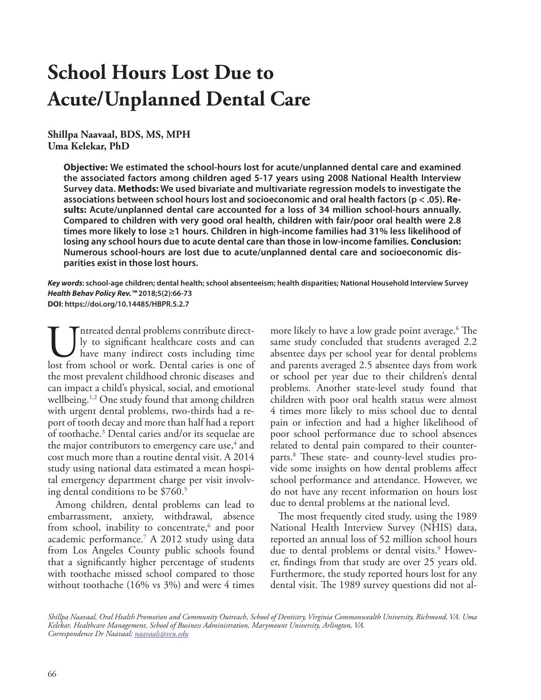# **School Hours Lost Due to Acute/Unplanned Dental Care**

**Shillpa Naavaal, BDS, MS, MPH Uma Kelekar, PhD**

> **Objective: We estimated the school-hours lost for acute/unplanned dental care and examined the associated factors among children aged 5-17 years using 2008 National Health Interview Survey data. Methods: We used bivariate and multivariate regression models to investigate the associations between school hours lost and socioeconomic and oral health factors (p < .05). Results: Acute/unplanned dental care accounted for a loss of 34 million school-hours annually. Compared to children with very good oral health, children with fair/poor oral health were 2.8 times more likely to lose ≥1 hours. Children in high-income families had 31% less likelihood of losing any school hours due to acute dental care than those in low-income families. Conclusion: Numerous school-hours are lost due to acute/unplanned dental care and socioeconomic disparities exist in those lost hours.**

*Key words***: school-age children; dental health; school absenteeism; health disparities; National Household Interview Survey** *Health Behav Policy Rev.™* **2018;5(2):66-73 DOI: https://doi.org/10.14485/HBPR.5.2.7**

Intreated dental problems contribute direct-<br>ly to significant healthcare costs and can<br>have many indirect costs including time<br>lost from school or work. Dental caries is one of ly to significant healthcare costs and can have many indirect costs including time lost from school or work. Dental caries is one of the most prevalent childhood chronic diseases and can impact a child's physical, social, and emotional wellbeing.1,2 One study found that among children with urgent dental problems, two-thirds had a report of tooth decay and more than half had a report of toothache.3 Dental caries and/or its sequelae are the major contributors to emergency care use,<sup>4</sup> and cost much more than a routine dental visit. A 2014 study using national data estimated a mean hospital emergency department charge per visit involving dental conditions to be \$760.<sup>5</sup>

Among children, dental problems can lead to embarrassment, anxiety, withdrawal, absence from school, inability to concentrate,<sup>6</sup> and poor academic performance.7 A 2012 study using data from Los Angeles County public schools found that a significantly higher percentage of students with toothache missed school compared to those without toothache (16% vs 3%) and were 4 times

more likely to have a low grade point average.6 The same study concluded that students averaged 2.2 absentee days per school year for dental problems and parents averaged 2.5 absentee days from work or school per year due to their children's dental problems. Another state-level study found that children with poor oral health status were almost 4 times more likely to miss school due to dental pain or infection and had a higher likelihood of poor school performance due to school absences related to dental pain compared to their counterparts.8 These state- and county-level studies provide some insights on how dental problems affect school performance and attendance. However, we do not have any recent information on hours lost due to dental problems at the national level.

The most frequently cited study, using the 1989 National Health Interview Survey (NHIS) data, reported an annual loss of 52 million school hours due to dental problems or dental visits.<sup>9</sup> However, findings from that study are over 25 years old. Furthermore, the study reported hours lost for any dental visit. The 1989 survey questions did not al-

*Shillpa Naavaal, Oral Health Promotion and Community Outreach, School of Dentistry, Virginia Commonwealth University, Richmond, VA. Uma Kelekar, Healthcare Management, School of Business Administration, Marymount University, Arlington, VA. Correspondence Dr Naavaal; naavaals@vcu.edu*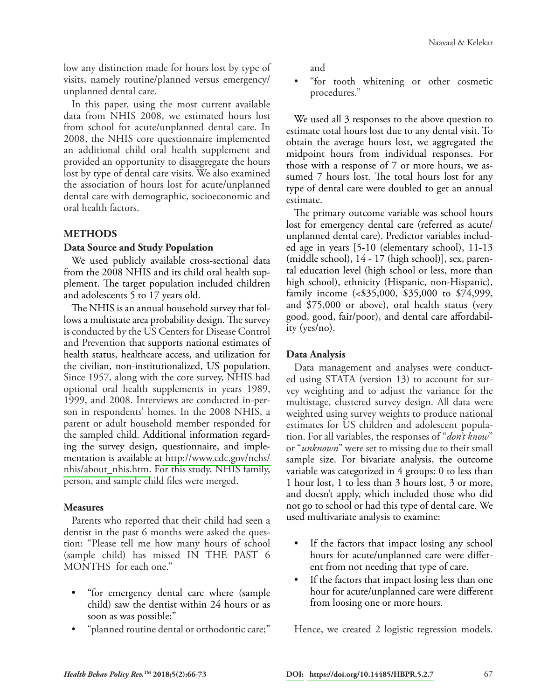low any distinction made for hours lost by type of visits, namely routine/planned versus emergency/ unplanned dental care.

In this paper, using the most current available data from NHIS 2008, we estimated hours lost from school for acute/unplanned dental care. In 2008, the NHIS core questionnaire implemented an additional child oral health supplement and provided an opportunity to disaggregate the hours lost by type of dental care visits. We also examined the association of hours lost for acute/unplanned dental care with demographic, socioeconomic and oral health factors.

## **METHODS**

#### **Data Source and Study Population**

We used publicly available cross-sectional data from the 2008 NHIS and its child oral health supplement. The target population included children and adolescents 5 to 17 years old.

The NHIS is an annual household survey that follows a multistate area probability design. The survey is conducted by the US Centers for Disease Control and Prevention that supports national estimates of health status, healthcare access, and utilization for the civilian, non-institutionalized, US population. Since 1957, along with the core survey, NHIS had optional oral health supplements in years 1989, 1999, and 2008. Interviews are conducted in-person in respondents' homes. In the 2008 NHIS, a parent or adult household member responded for the sampled child. Additional information regarding the survey design, questionnaire, and implementation is available at [http://www.cdc.gov/nchs/](http://www.cdc.gov/nchs/nhis/about_nhis.htm) [nhis/about\\_nhis.htm.](http://www.cdc.gov/nchs/nhis/about_nhis.htm) For this study, NHIS family, person, and sample child files were merged.

## **Measures**

Parents who reported that their child had seen a dentist in the past 6 months were asked the question: "Please tell me how many hours of school (sample child) has missed IN THE PAST 6 MONTHS for each one."

- "for emergency dental care where (sample child) saw the dentist within 24 hours or as soon as was possible;"
- "planned routine dental or orthodontic care;"

and

• "for tooth whitening or other cosmetic procedures."

We used all 3 responses to the above question to estimate total hours lost due to any dental visit. To obtain the average hours lost, we aggregated the midpoint hours from individual responses. For those with a response of 7 or more hours, we assumed 7 hours lost. The total hours lost for any type of dental care were doubled to get an annual estimate.

The primary outcome variable was school hours lost for emergency dental care (referred as acute/ unplanned dental care). Predictor variables included age in years [5-10 (elementary school), 11-13 (middle school), 14 - 17 (high school)], sex, parental education level (high school or less, more than high school), ethnicity (Hispanic, non-Hispanic), family income (<\$35,000, \$35,000 to \$74,999, and \$75,000 or above), oral health status (very good, good, fair/poor), and dental care affordability (yes/no).

## **Data Analysis**

Data management and analyses were conducted using STATA (version 13) to account for survey weighting and to adjust the variance for the multistage, clustered survey design. All data were weighted using survey weights to produce national estimates for US children and adolescent population. For all variables, the responses of "*don't know*" or "*unknown*" were set to missing due to their small sample size. For bivariate analysis, the outcome variable was categorized in 4 groups: 0 to less than 1 hour lost, 1 to less than 3 hours lost, 3 or more, and doesn't apply, which included those who did not go to school or had this type of dental care. We used multivariate analysis to examine:

- If the factors that impact losing any school hours for acute/unplanned care were different from not needing that type of care.
- If the factors that impact losing less than one hour for acute/unplanned care were different from loosing one or more hours.

Hence, we created 2 logistic regression models.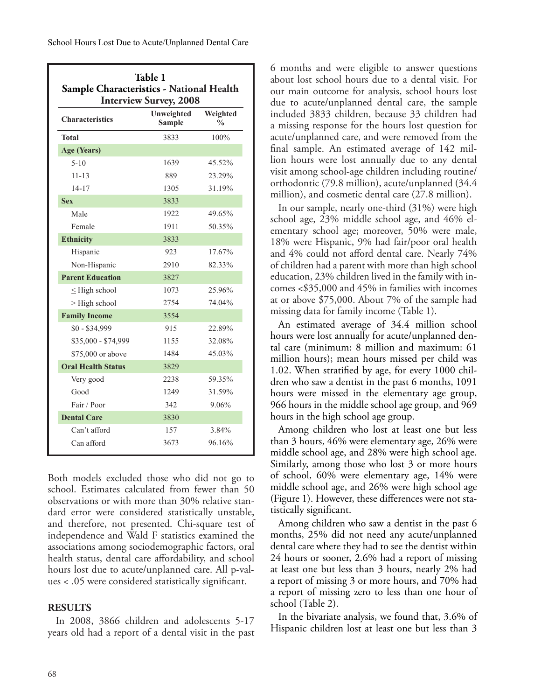| <b>Table 1</b><br>Sample Characteristics - National Health<br><b>Interview Survey, 2008</b> |                             |                                   |  |  |
|---------------------------------------------------------------------------------------------|-----------------------------|-----------------------------------|--|--|
| <b>Characteristics</b>                                                                      | Unweighted<br><b>Sample</b> | Weighted<br>$\frac{0}{0}$<br>100% |  |  |
| Total                                                                                       | 3833                        |                                   |  |  |
| Age (Years)                                                                                 |                             |                                   |  |  |
| $5-10$                                                                                      | 1639                        | 45.52%                            |  |  |
| $11 - 13$                                                                                   | 889<br>23.29%               |                                   |  |  |
| $14 - 17$                                                                                   | 1305                        | 31.19%                            |  |  |
| <b>Sex</b>                                                                                  | 3833                        |                                   |  |  |
| Male                                                                                        | 1922                        | 49.65%                            |  |  |
| Female                                                                                      | 1911                        | 50.35%                            |  |  |
| <b>Ethnicity</b>                                                                            | 3833                        |                                   |  |  |
| Hispanic                                                                                    | 923                         | 17.67%                            |  |  |
| Non-Hispanic                                                                                | 2910                        | 82.33%                            |  |  |
| <b>Parent Education</b>                                                                     | 3827                        |                                   |  |  |
| $\leq$ High school                                                                          | 1073                        | 25.96%                            |  |  |
| $>$ High school                                                                             | 2754                        | 74.04%                            |  |  |
| <b>Family Income</b>                                                                        | 3554                        |                                   |  |  |
| $$0 - $34,999$                                                                              | 915                         | 22.89%                            |  |  |
| \$35,000 - \$74,999                                                                         | 1155                        | 32.08%                            |  |  |
| \$75,000 or above                                                                           | 1484                        | 45.03%                            |  |  |
| <b>Oral Health Status</b>                                                                   | 3829                        |                                   |  |  |
| Very good                                                                                   | 2238                        | 59.35%                            |  |  |
| Good                                                                                        | 1249                        | 31.59%                            |  |  |
| Fair / Poor                                                                                 | 342                         | 9.06%                             |  |  |
| <b>Dental Care</b>                                                                          | 3830                        |                                   |  |  |
| Can't afford                                                                                | 157                         | 3.84%                             |  |  |
| Can afford                                                                                  | 3673                        | 96.16%                            |  |  |

Both models excluded those who did not go to school. Estimates calculated from fewer than 50 observations or with more than 30% relative standard error were considered statistically unstable, and therefore, not presented. Chi-square test of independence and Wald F statistics examined the associations among sociodemographic factors, oral health status, dental care affordability, and school hours lost due to acute/unplanned care. All p-values < .05 were considered statistically significant.

# **RESULTS**

In 2008, 3866 children and adolescents 5-17 years old had a report of a dental visit in the past

6 months and were eligible to answer questions about lost school hours due to a dental visit. For our main outcome for analysis, school hours lost due to acute/unplanned dental care, the sample included 3833 children, because 33 children had a missing response for the hours lost question for acute/unplanned care, and were removed from the final sample. An estimated average of 142 million hours were lost annually due to any dental visit among school-age children including routine/ orthodontic (79.8 million), acute/unplanned (34.4 million), and cosmetic dental care (27.8 million).

In our sample, nearly one-third (31%) were high school age, 23% middle school age, and 46% elementary school age; moreover, 50% were male, 18% were Hispanic, 9% had fair/poor oral health and 4% could not afford dental care. Nearly 74% of children had a parent with more than high school education, 23% children lived in the family with incomes <\$35,000 and 45% in families with incomes at or above \$75,000. About 7% of the sample had missing data for family income (Table 1).

An estimated average of 34.4 million school hours were lost annually for acute/unplanned dental care (minimum: 8 million and maximum: 61 million hours); mean hours missed per child was 1.02. When stratified by age, for every 1000 children who saw a dentist in the past 6 months, 1091 hours were missed in the elementary age group, 966 hours in the middle school age group, and 969 hours in the high school age group.

Among children who lost at least one but less than 3 hours, 46% were elementary age, 26% were middle school age, and 28% were high school age. Similarly, among those who lost 3 or more hours of school, 60% were elementary age, 14% were middle school age, and 26% were high school age (Figure 1). However, these differences were not statistically significant.

Among children who saw a dentist in the past 6 months, 25% did not need any acute/unplanned dental care where they had to see the dentist within 24 hours or sooner, 2.6% had a report of missing at least one but less than 3 hours, nearly 2% had a report of missing 3 or more hours, and 70% had a report of missing zero to less than one hour of school (Table 2).

In the bivariate analysis, we found that, 3.6% of Hispanic children lost at least one but less than 3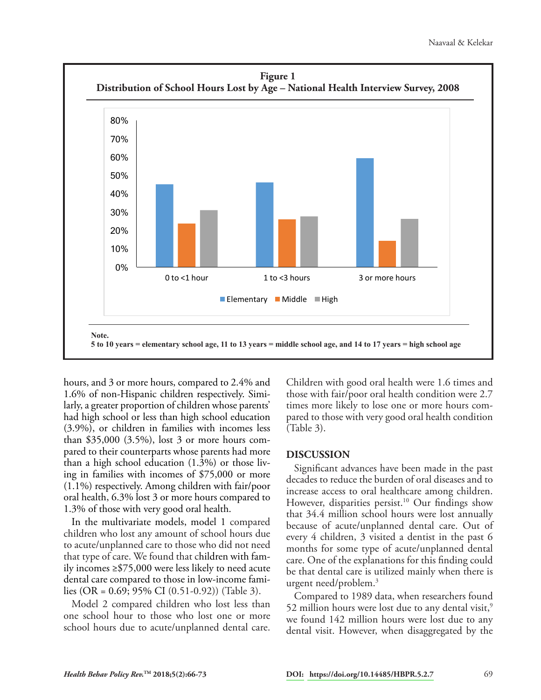

hours, and 3 or more hours, compared to 2.4% and 1.6% of non-Hispanic children respectively. Similarly, a greater proportion of children whose parents' had high school or less than high school education (3.9%), or children in families with incomes less than \$35,000 (3.5%), lost 3 or more hours compared to their counterparts whose parents had more than a high school education (1.3%) or those living in families with incomes of \$75,000 or more (1.1%) respectively. Among children with fair/poor oral health, 6.3% lost 3 or more hours compared to 1.3% of those with very good oral health.

In the multivariate models, model 1 compared children who lost any amount of school hours due to acute/unplanned care to those who did not need that type of care. We found that children with family incomes ≥\$75,000 were less likely to need acute dental care compared to those in low-income families (OR = 0.69; 95% CI (0.51-0.92)) (Table 3).

Model 2 compared children who lost less than one school hour to those who lost one or more school hours due to acute/unplanned dental care.

Children with good oral health were 1.6 times and those with fair/poor oral health condition were 2.7 times more likely to lose one or more hours compared to those with very good oral health condition (Table 3).

## **DISCUSSION**

Significant advances have been made in the past decades to reduce the burden of oral diseases and to increase access to oral healthcare among children. However, disparities persist.<sup>10</sup> Our findings show that 34.4 million school hours were lost annually because of acute/unplanned dental care. Out of every 4 children, 3 visited a dentist in the past 6 months for some type of acute/unplanned dental care. One of the explanations for this finding could be that dental care is utilized mainly when there is urgent need/problem.3

Compared to 1989 data, when researchers found 52 million hours were lost due to any dental visit.<sup>9</sup> we found 142 million hours were lost due to any dental visit. However, when disaggregated by the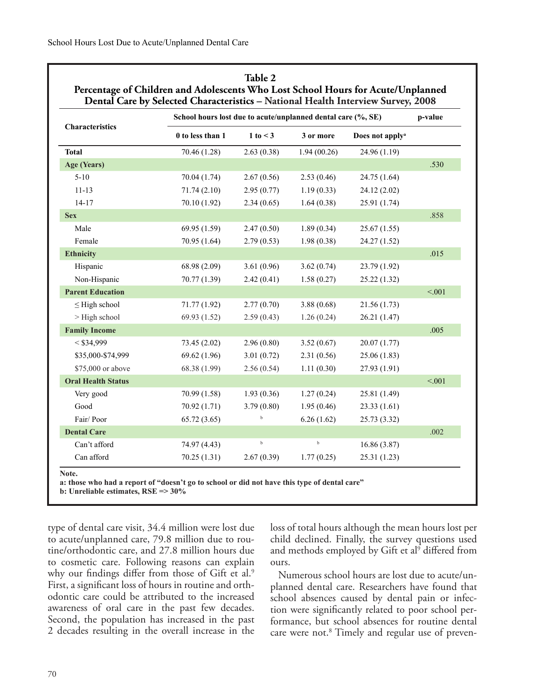|                           |                  | School hours lost due to acute/unplanned dental care (%, SE) |             |                             |        |
|---------------------------|------------------|--------------------------------------------------------------|-------------|-----------------------------|--------|
| Characteristics           | 0 to less than 1 | 1 to < 3                                                     | 3 or more   | Does not apply <sup>a</sup> |        |
| <b>Total</b>              | 70.46 (1.28)     | 2.63(0.38)                                                   | 1.94(00.26) | 24.96 (1.19)                |        |
| Age (Years)               |                  |                                                              |             |                             | .530   |
| $5 - 10$                  | 70.04 (1.74)     | 2.67(0.56)                                                   | 2.53(0.46)  | 24.75 (1.64)                |        |
| $11 - 13$                 | 71.74(2.10)      | 2.95(0.77)                                                   | 1.19(0.33)  | 24.12 (2.02)                |        |
| $14 - 17$                 | 70.10 (1.92)     | 2.34(0.65)                                                   | 1.64(0.38)  | 25.91 (1.74)                |        |
| <b>Sex</b>                |                  |                                                              |             |                             | .858   |
| Male                      | 69.95 (1.59)     | 2.47(0.50)                                                   | 1.89(0.34)  | 25.67 (1.55)                |        |
| Female                    | 70.95 (1.64)     | 2.79(0.53)                                                   | 1.98(0.38)  | 24.27 (1.52)                |        |
| <b>Ethnicity</b>          |                  |                                                              |             |                             | .015   |
| Hispanic                  | 68.98 (2.09)     | 3.61(0.96)                                                   | 3.62(0.74)  | 23.79 (1.92)                |        |
| Non-Hispanic              | 70.77 (1.39)     | 2.42(0.41)                                                   | 1.58(0.27)  | 25.22 (1.32)                |        |
| <b>Parent Education</b>   |                  |                                                              |             |                             | < .001 |
| $\leq$ High school        | 71.77 (1.92)     | 2.77(0.70)                                                   | 3.88(0.68)  | 21.56 (1.73)                |        |
| > High school             | 69.93 (1.52)     | 2.59(0.43)                                                   | 1.26(0.24)  | 26.21 (1.47)                |        |
| <b>Family Income</b>      |                  |                                                              |             |                             | .005   |
| $<$ \$34,999              | 73.45 (2.02)     | 2.96(0.80)                                                   | 3.52(0.67)  | 20.07 (1.77)                |        |
| \$35,000-\$74,999         | 69.62 (1.96)     | 3.01(0.72)                                                   | 2.31(0.56)  | 25.06 (1.83)                |        |
| \$75,000 or above         | 68.38 (1.99)     | 2.56(0.54)                                                   | 1.11(0.30)  | 27.93 (1.91)                |        |
| <b>Oral Health Status</b> |                  |                                                              |             |                             | < .001 |
| Very good                 | 70.99 (1.58)     | 1.93(0.36)                                                   | 1.27(0.24)  | 25.81 (1.49)                |        |
| Good                      | 70.92 (1.71)     | 3.79(0.80)                                                   | 1.95(0.46)  | 23.33 (1.61)                |        |
| Fair/Poor                 | 65.72(3.65)      | $\mathbf b$                                                  | 6.26(1.62)  | 25.73 (3.32)                |        |
| <b>Dental Care</b>        |                  |                                                              |             |                             | .002   |
| Can't afford              | 74.97 (4.43)     | $_{\rm b}$                                                   | $\mathbf b$ | 16.86 (3.87)                |        |
| Can afford                | 70.25(1.31)      | 2.67(0.39)                                                   | 1.77(0.25)  | 25.31 (1.23)                |        |

**Table 2 Percentage of Children and Adolescents Who Lost School Hours for Acute/Unplanned** 

**Note.**

**a: those who had a report of "doesn't go to school or did not have this type of dental care"**

**b: Unreliable estimates, RSE => 30%**

type of dental care visit, 34.4 million were lost due to acute/unplanned care, 79.8 million due to routine/orthodontic care, and 27.8 million hours due to cosmetic care. Following reasons can explain why our findings differ from those of Gift et al.<sup>9</sup> First, a significant loss of hours in routine and orthodontic care could be attributed to the increased awareness of oral care in the past few decades. Second, the population has increased in the past 2 decades resulting in the overall increase in the loss of total hours although the mean hours lost per child declined. Finally, the survey questions used and methods employed by Gift et al<sup>9</sup> differed from ours.

Numerous school hours are lost due to acute/unplanned dental care. Researchers have found that school absences caused by dental pain or infection were significantly related to poor school performance, but school absences for routine dental care were not.<sup>8</sup> Timely and regular use of preven-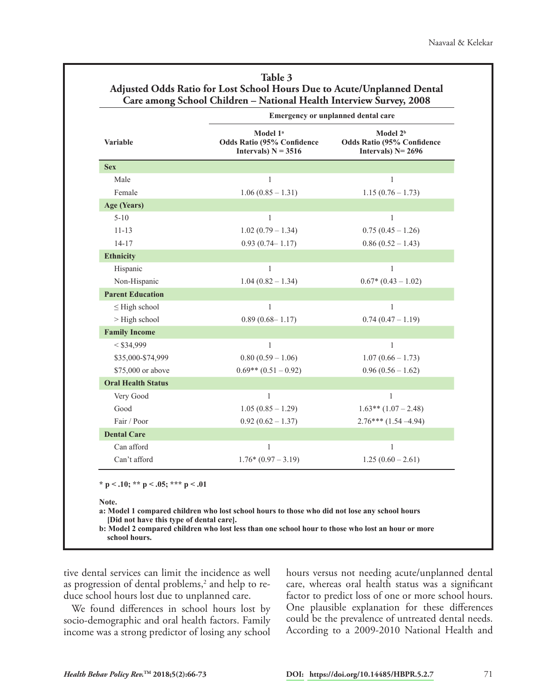|                           | Emergency or unplanned dental care                                                 |                                                                                    |  |  |
|---------------------------|------------------------------------------------------------------------------------|------------------------------------------------------------------------------------|--|--|
| Variable                  | Model 1 <sup>a</sup><br><b>Odds Ratio (95% Confidence</b><br>Intervals) $N = 3516$ | Model 2 <sup>b</sup><br><b>Odds Ratio (95% Confidence</b><br>Intervals) $N = 2696$ |  |  |
| <b>Sex</b>                |                                                                                    |                                                                                    |  |  |
| Male                      | 1                                                                                  | 1                                                                                  |  |  |
| Female                    | $1.06(0.85 - 1.31)$                                                                | $1.15(0.76 - 1.73)$                                                                |  |  |
| Age (Years)               |                                                                                    |                                                                                    |  |  |
| $5 - 10$                  | $\mathbf{1}$                                                                       | $\mathbf{1}$                                                                       |  |  |
| $11 - 13$                 | $1.02(0.79 - 1.34)$                                                                | $0.75(0.45 - 1.26)$                                                                |  |  |
| $14 - 17$                 | $0.93(0.74 - 1.17)$                                                                | $0.86(0.52 - 1.43)$                                                                |  |  |
| <b>Ethnicity</b>          |                                                                                    |                                                                                    |  |  |
| Hispanic                  | 1                                                                                  | 1                                                                                  |  |  |
| Non-Hispanic              | $1.04(0.82 - 1.34)$                                                                | $0.67*(0.43-1.02)$                                                                 |  |  |
| <b>Parent Education</b>   |                                                                                    |                                                                                    |  |  |
| $\leq$ High school        | 1                                                                                  | 1                                                                                  |  |  |
| > High school             | $0.89(0.68 - 1.17)$                                                                | $0.74(0.47 - 1.19)$                                                                |  |  |
| <b>Family Income</b>      |                                                                                    |                                                                                    |  |  |
| $<$ \$34,999              | 1                                                                                  | 1                                                                                  |  |  |
| \$35,000-\$74,999         | $0.80(0.59 - 1.06)$                                                                | $1.07(0.66 - 1.73)$                                                                |  |  |
| \$75,000 or above         | $0.69**$ $(0.51-0.92)$                                                             | $0.96(0.56 - 1.62)$                                                                |  |  |
| <b>Oral Health Status</b> |                                                                                    |                                                                                    |  |  |
| Very Good                 | 1                                                                                  | 1                                                                                  |  |  |
| Good                      | $1.05(0.85 - 1.29)$                                                                | $1.63**$ $(1.07-2.48)$                                                             |  |  |
| Fair / Poor               | $0.92(0.62 - 1.37)$                                                                | $2.76***(1.54-4.94)$                                                               |  |  |
| <b>Dental Care</b>        |                                                                                    |                                                                                    |  |  |
| Can afford                | 1                                                                                  | $\mathbf{1}$                                                                       |  |  |
| Can't afford              | $1.76*(0.97-3.19)$                                                                 | $1.25(0.60-2.61)$                                                                  |  |  |

| Table 3                                                                 |
|-------------------------------------------------------------------------|
| Adjusted Odds Ratio for Lost School Hours Due to Acute/Unplanned Dental |
| Care among School Children – National Health Interview Survey, 2008     |

**\* p < .10; \*\* p < .05; \*\*\* p < .01**

**Note.**

**a: Model 1 compared children who lost school hours to those who did not lose any school hours [Did not have this type of dental care].** 

**b: Model 2 compared children who lost less than one school hour to those who lost an hour or more school hours.** 

tive dental services can limit the incidence as well as progression of dental problems, $^2$  and help to reduce school hours lost due to unplanned care.

We found differences in school hours lost by socio-demographic and oral health factors. Family income was a strong predictor of losing any school

hours versus not needing acute/unplanned dental care, whereas oral health status was a significant factor to predict loss of one or more school hours. One plausible explanation for these differences could be the prevalence of untreated dental needs. According to a 2009-2010 National Health and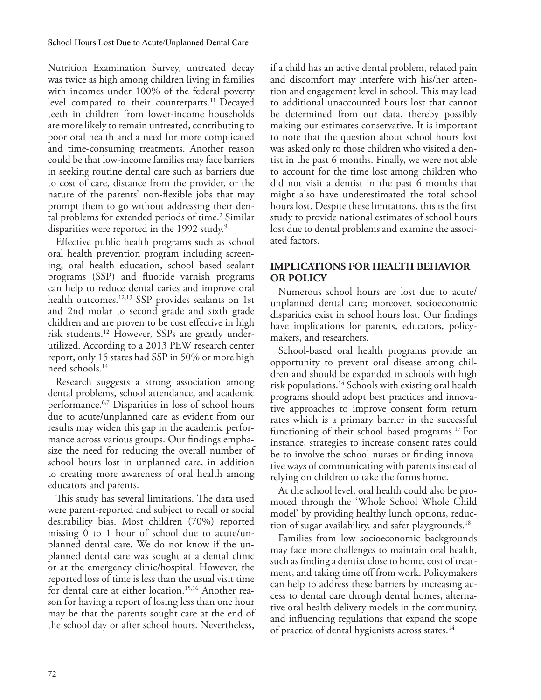Nutrition Examination Survey, untreated decay was twice as high among children living in families with incomes under 100% of the federal poverty level compared to their counterparts.<sup>11</sup> Decayed teeth in children from lower-income households are more likely to remain untreated, contributing to poor oral health and a need for more complicated and time-consuming treatments. Another reason could be that low-income families may face barriers in seeking routine dental care such as barriers due to cost of care, distance from the provider, or the nature of the parents' non-flexible jobs that may prompt them to go without addressing their dental problems for extended periods of time.<sup>2</sup> Similar disparities were reported in the 1992 study.<sup>9</sup>

Effective public health programs such as school oral health prevention program including screening, oral health education, school based sealant programs (SSP) and fluoride varnish programs can help to reduce dental caries and improve oral health outcomes.<sup>12,13</sup> SSP provides sealants on 1st and 2nd molar to second grade and sixth grade children and are proven to be cost effective in high risk students.12 However, SSPs are greatly underutilized. According to a 2013 PEW research center report, only 15 states had SSP in 50% or more high need schools.14

Research suggests a strong association among dental problems, school attendance, and academic performance.6,7 Disparities in loss of school hours due to acute/unplanned care as evident from our results may widen this gap in the academic performance across various groups. Our findings emphasize the need for reducing the overall number of school hours lost in unplanned care, in addition to creating more awareness of oral health among educators and parents.

This study has several limitations. The data used were parent-reported and subject to recall or social desirability bias. Most children (70%) reported missing 0 to 1 hour of school due to acute/unplanned dental care. We do not know if the unplanned dental care was sought at a dental clinic or at the emergency clinic/hospital. However, the reported loss of time is less than the usual visit time for dental care at either location.<sup>15,16</sup> Another reason for having a report of losing less than one hour may be that the parents sought care at the end of the school day or after school hours. Nevertheless,

if a child has an active dental problem, related pain and discomfort may interfere with his/her attention and engagement level in school. This may lead to additional unaccounted hours lost that cannot be determined from our data, thereby possibly making our estimates conservative. It is important to note that the question about school hours lost was asked only to those children who visited a dentist in the past 6 months. Finally, we were not able to account for the time lost among children who did not visit a dentist in the past 6 months that might also have underestimated the total school hours lost. Despite these limitations, this is the first study to provide national estimates of school hours lost due to dental problems and examine the associated factors.

# **IMPLICATIONS FOR HEALTH BEHAVIOR OR POLICY**

Numerous school hours are lost due to acute/ unplanned dental care; moreover, socioeconomic disparities exist in school hours lost. Our findings have implications for parents, educators, policymakers, and researchers.

School-based oral health programs provide an opportunity to prevent oral disease among children and should be expanded in schools with high risk populations.14 Schools with existing oral health programs should adopt best practices and innovative approaches to improve consent form return rates which is a primary barrier in the successful functioning of their school based programs.17 For instance, strategies to increase consent rates could be to involve the school nurses or finding innovative ways of communicating with parents instead of relying on children to take the forms home.

At the school level, oral health could also be promoted through the 'Whole School Whole Child model' by providing healthy lunch options, reduction of sugar availability, and safer playgrounds. $18$ 

Families from low socioeconomic backgrounds may face more challenges to maintain oral health, such as finding a dentist close to home, cost of treatment, and taking time off from work. Policymakers can help to address these barriers by increasing access to dental care through dental homes, alternative oral health delivery models in the community, and influencing regulations that expand the scope of practice of dental hygienists across states.<sup>14</sup>